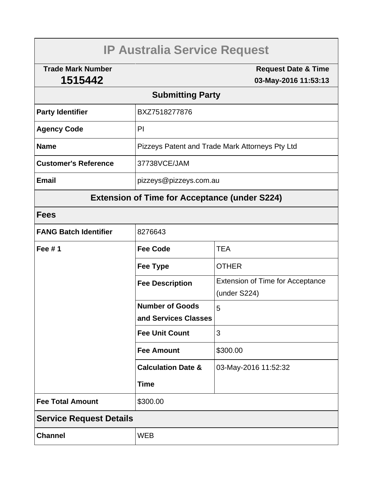# **IP Australia Service Request**

**Trade Mark Number 1515442**

**Request Date & Time 03-May-2016 11:53:13**

## **Submitting Party**

| <b>Party Identifier</b>     | BXZ7518277876                                   |  |
|-----------------------------|-------------------------------------------------|--|
| <b>Agency Code</b>          | PI                                              |  |
| <b>Name</b>                 | Pizzeys Patent and Trade Mark Attorneys Pty Ltd |  |
| <b>Customer's Reference</b> | 37738VCE/JAM                                    |  |
| <b>Email</b>                | pizzeys@pizzeys.com.au                          |  |

# **Extension of Time for Acceptance (under S224)**

## **Fees**

| <b>FANG Batch Identifier</b>   | 8276643                       |                                         |  |  |
|--------------------------------|-------------------------------|-----------------------------------------|--|--|
| Fee $# 1$                      | <b>Fee Code</b>               | <b>TEA</b>                              |  |  |
|                                | <b>Fee Type</b>               | <b>OTHER</b>                            |  |  |
|                                | <b>Fee Description</b>        | <b>Extension of Time for Acceptance</b> |  |  |
|                                |                               | (under S224)                            |  |  |
|                                | <b>Number of Goods</b>        | 5                                       |  |  |
|                                | and Services Classes          |                                         |  |  |
|                                | <b>Fee Unit Count</b>         | 3                                       |  |  |
|                                | <b>Fee Amount</b>             | \$300.00                                |  |  |
|                                | <b>Calculation Date &amp;</b> | 03-May-2016 11:52:32                    |  |  |
|                                | <b>Time</b>                   |                                         |  |  |
| <b>Fee Total Amount</b>        | \$300.00                      |                                         |  |  |
| <b>Service Request Details</b> |                               |                                         |  |  |
| <b>Channel</b>                 | <b>WEB</b>                    |                                         |  |  |
|                                |                               |                                         |  |  |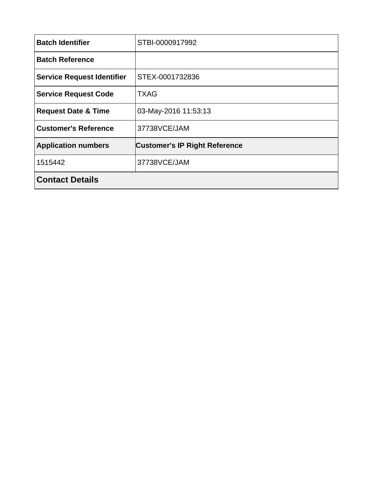| <b>Batch Identifier</b>           | STBI-0000917992                      |  |
|-----------------------------------|--------------------------------------|--|
| <b>Batch Reference</b>            |                                      |  |
| <b>Service Request Identifier</b> | STEX-0001732836                      |  |
| <b>Service Request Code</b>       | <b>TXAG</b>                          |  |
| <b>Request Date &amp; Time</b>    | 03-May-2016 11:53:13                 |  |
| <b>Customer's Reference</b>       | 37738VCE/JAM                         |  |
| <b>Application numbers</b>        | <b>Customer's IP Right Reference</b> |  |
| 1515442                           | 37738VCE/JAM                         |  |
| <b>Contact Details</b>            |                                      |  |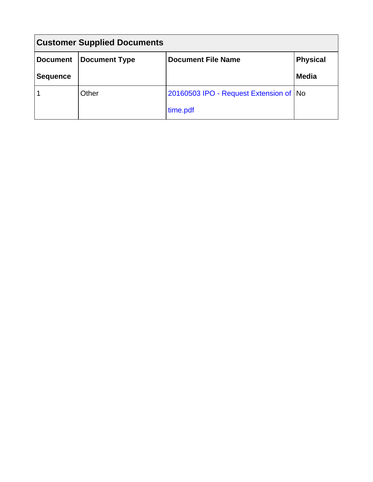| <b>Customer Supplied Documents</b> |               |                                          |                 |  |  |
|------------------------------------|---------------|------------------------------------------|-----------------|--|--|
| <b>Document</b>                    | Document Type | <b>Document File Name</b>                | <b>Physical</b> |  |  |
| <b>Sequence</b>                    |               |                                          | <b>Media</b>    |  |  |
|                                    | Other         | 20160503 IPO - Request Extension of   No |                 |  |  |
|                                    |               | time.pdf                                 |                 |  |  |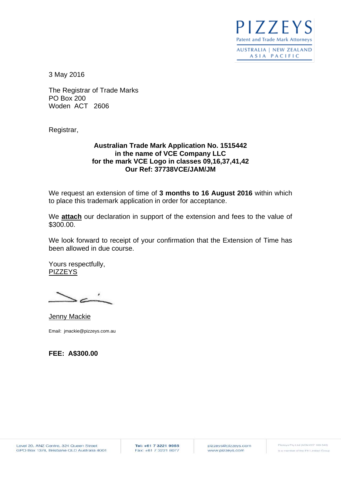$177F$ **Patent and Trade Mark Attorneys** 

**AUSTRALIA | NEW ZEALAND** ASIA PACIFIC

3 May 2016

The Registrar of Trade Marks PO Box 200 Woden ACT 2606

Registrar,

#### **Australian Trade Mark Application No. 1515442 in the name of VCE Company LLC for the mark VCE Logo in classes 09,16,37,41,42 Our Ref: 37738VCE/JAM/JM**

We request an extension of time of **3 months to 16 August 2016** within which to place this trademark application in order for acceptance.

We **attach** our declaration in support of the extension and fees to the value of \$300.00.

We look forward to receipt of your confirmation that the Extension of Time has been allowed in due course.

Yours respectfully, **PIZZEYS** 

Jenny Mackie Email: jmackie@pizzeys.com.au

**FEE: A\$300.00**